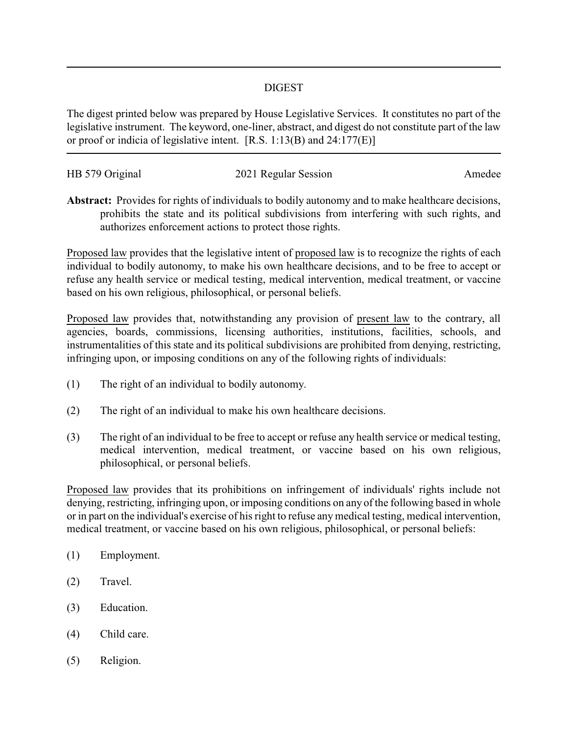## DIGEST

The digest printed below was prepared by House Legislative Services. It constitutes no part of the legislative instrument. The keyword, one-liner, abstract, and digest do not constitute part of the law or proof or indicia of legislative intent. [R.S. 1:13(B) and 24:177(E)]

| HB 579 Original | 2021 Regular Session | Amedee |
|-----------------|----------------------|--------|

**Abstract:** Provides for rights of individuals to bodily autonomy and to make healthcare decisions, prohibits the state and its political subdivisions from interfering with such rights, and authorizes enforcement actions to protect those rights.

Proposed law provides that the legislative intent of proposed law is to recognize the rights of each individual to bodily autonomy, to make his own healthcare decisions, and to be free to accept or refuse any health service or medical testing, medical intervention, medical treatment, or vaccine based on his own religious, philosophical, or personal beliefs.

Proposed law provides that, notwithstanding any provision of present law to the contrary, all agencies, boards, commissions, licensing authorities, institutions, facilities, schools, and instrumentalities of this state and its political subdivisions are prohibited from denying, restricting, infringing upon, or imposing conditions on any of the following rights of individuals:

- (1) The right of an individual to bodily autonomy.
- (2) The right of an individual to make his own healthcare decisions.
- (3) The right of an individual to be free to accept or refuse any health service or medical testing, medical intervention, medical treatment, or vaccine based on his own religious, philosophical, or personal beliefs.

Proposed law provides that its prohibitions on infringement of individuals' rights include not denying, restricting, infringing upon, or imposing conditions on any of the following based in whole or in part on the individual's exercise of his right to refuse any medical testing, medical intervention, medical treatment, or vaccine based on his own religious, philosophical, or personal beliefs:

- (1) Employment.
- (2) Travel.
- (3) Education.
- (4) Child care.
- (5) Religion.